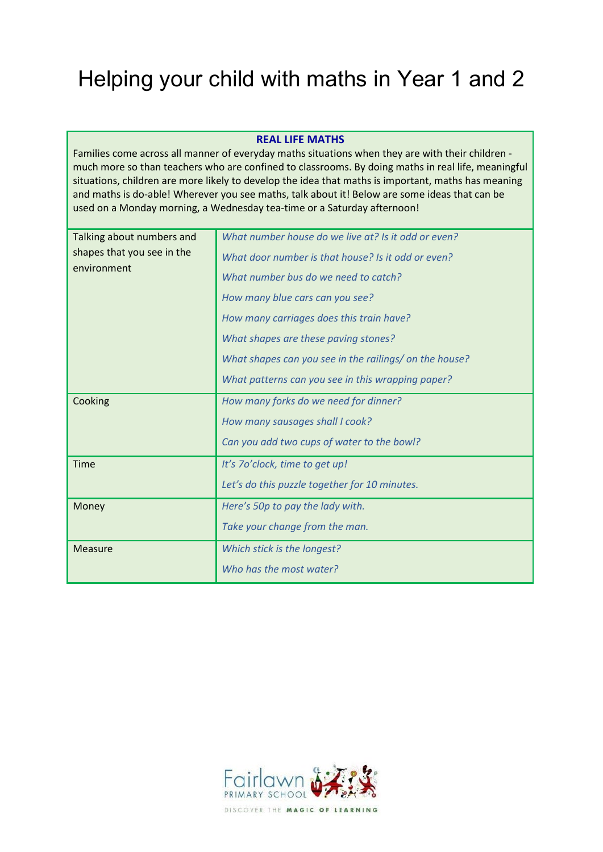# Helping your child with maths in Year 1 and 2

#### **REAL LIFE MATHS**

Families come across all manner of everyday maths situations when they are with their children much more so than teachers who are confined to classrooms. By doing maths in real life, meaningful situations, children are more likely to develop the idea that maths is important, maths has meaning and maths is do-able! Wherever you see maths, talk about it! Below are some ideas that can be used on a Monday morning, a Wednesday tea-time or a Saturday afternoon!

| Talking about numbers and  | What number house do we live at? Is it odd or even?    |  |  |
|----------------------------|--------------------------------------------------------|--|--|
| shapes that you see in the | What door number is that house? Is it odd or even?     |  |  |
| environment                | What number bus do we need to catch?                   |  |  |
|                            | How many blue cars can you see?                        |  |  |
|                            | How many carriages does this train have?               |  |  |
|                            | What shapes are these paving stones?                   |  |  |
|                            | What shapes can you see in the railings/ on the house? |  |  |
|                            | What patterns can you see in this wrapping paper?      |  |  |
| Cooking                    | How many forks do we need for dinner?                  |  |  |
|                            | How many sausages shall I cook?                        |  |  |
|                            | Can you add two cups of water to the bowl?             |  |  |
| Time                       | It's 7o'clock, time to get up!                         |  |  |
|                            | Let's do this puzzle together for 10 minutes.          |  |  |
| Money                      | Here's 50p to pay the lady with.                       |  |  |
|                            | Take your change from the man.                         |  |  |
| <b>Measure</b>             | Which stick is the longest?                            |  |  |
|                            | Who has the most water?                                |  |  |
|                            |                                                        |  |  |

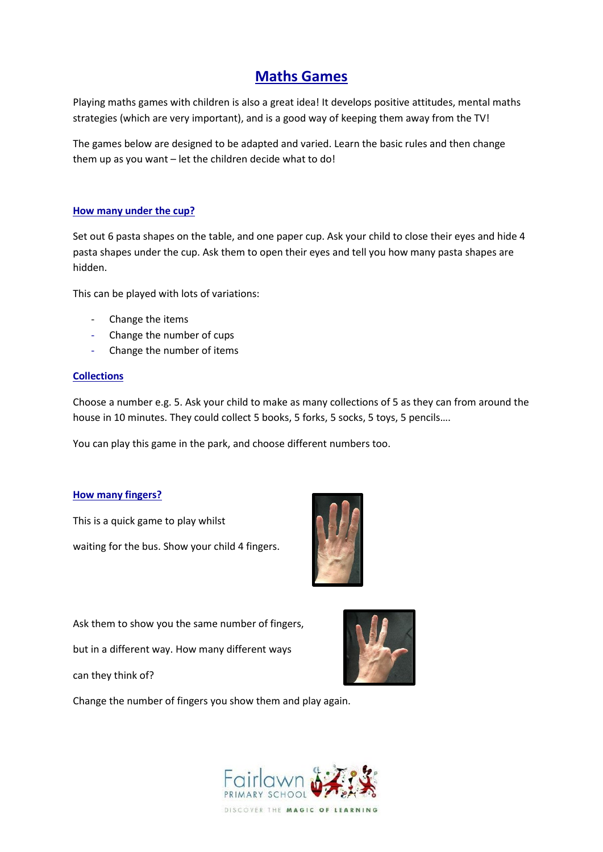## **Maths Games**

Playing maths games with children is also a great idea! It develops positive attitudes, mental maths strategies (which are very important), and is a good way of keeping them away from the TV!

The games below are designed to be adapted and varied. Learn the basic rules and then change them up as you want – let the children decide what to do!

#### **How many under the cup?**

Set out 6 pasta shapes on the table, and one paper cup. Ask your child to close their eyes and hide 4 pasta shapes under the cup. Ask them to open their eyes and tell you how many pasta shapes are hidden.

This can be played with lots of variations:

- Change the items
- Change the number of cups
- Change the number of items

#### **Collections**

Choose a number e.g. 5. Ask your child to make as many collections of 5 as they can from around the house in 10 minutes. They could collect 5 books, 5 forks, 5 socks, 5 toys, 5 pencils….

You can play this game in the park, and choose different numbers too.

#### **How many fingers?**

This is a quick game to play whilst waiting for the bus. Show your child 4 fingers.



Ask them to show you the same number of fingers,

but in a different way. How many different ways

can they think of?



Change the number of fingers you show them and play again.

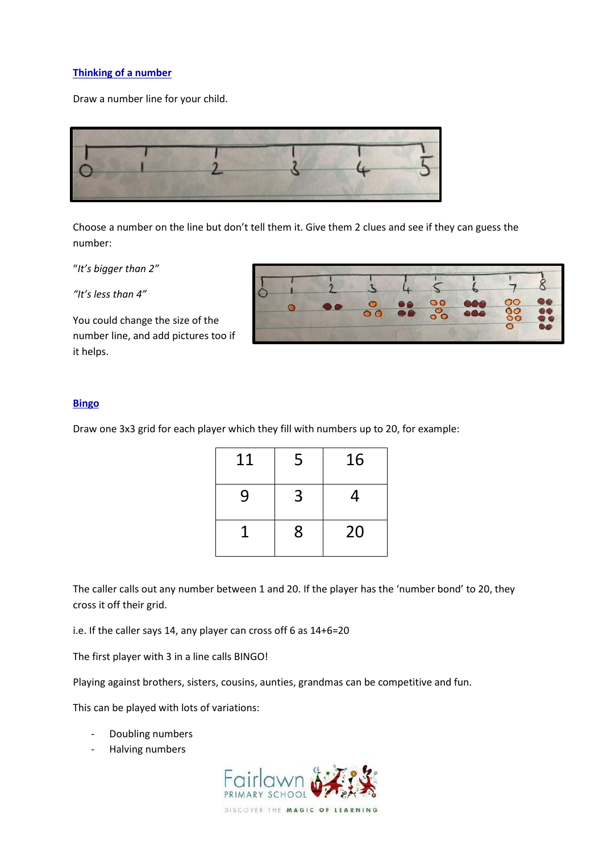#### **Thinking of a number**

Draw a number line for your child.



Choose a number on the line but don't tell them it. Give them 2 clues and see if they can guess the number:

"*It's bigger than 2"*

*"It's less than 4"*

You could change the size of the number line, and add pictures too if it helps.

|  | $\bullet$ | 88 88 | 686 | $80^{\circ}$<br>$\circ$ | $\bullet\bullet$ |
|--|-----------|-------|-----|-------------------------|------------------|

#### **Bingo**

Draw one 3x3 grid for each player which they fill with numbers up to 20, for example:

| 11 | 5 | 16 |
|----|---|----|
| 9  | 3 | 4  |
|    | 8 | 20 |

The caller calls out any number between 1 and 20. If the player has the 'number bond' to 20, they cross it off their grid.

i.e. If the caller says 14, any player can cross off 6 as 14+6=20

The first player with 3 in a line calls BINGO!

Playing against brothers, sisters, cousins, aunties, grandmas can be competitive and fun.

This can be played with lots of variations:

- Doubling numbers
- Halving numbers

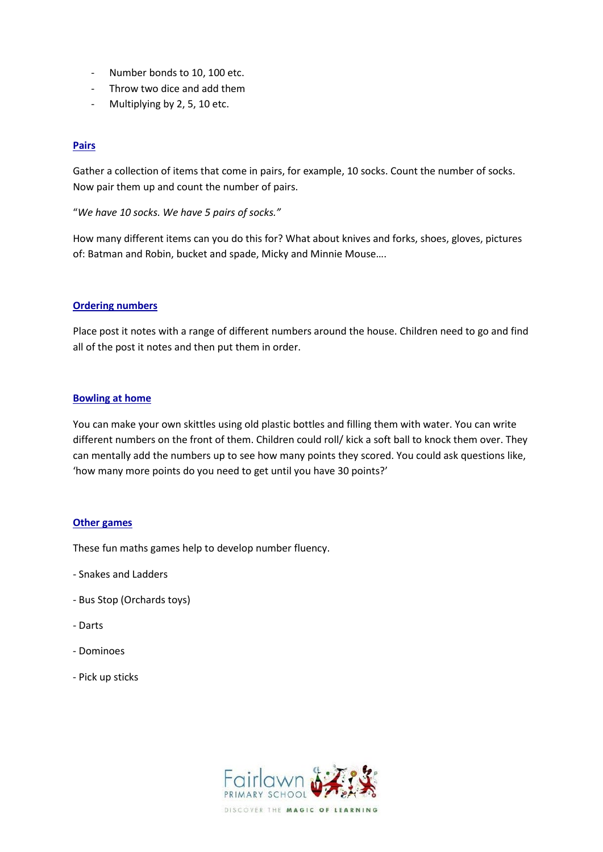- Number bonds to 10, 100 etc.
- Throw two dice and add them
- Multiplying by 2, 5, 10 etc.

#### **Pairs**

Gather a collection of items that come in pairs, for example, 10 socks. Count the number of socks. Now pair them up and count the number of pairs.

"*We have 10 socks. We have 5 pairs of socks."*

How many different items can you do this for? What about knives and forks, shoes, gloves, pictures of: Batman and Robin, bucket and spade, Micky and Minnie Mouse….

#### **Ordering numbers**

Place post it notes with a range of different numbers around the house. Children need to go and find all of the post it notes and then put them in order.

#### **Bowling at home**

You can make your own skittles using old plastic bottles and filling them with water. You can write different numbers on the front of them. Children could roll/ kick a soft ball to knock them over. They can mentally add the numbers up to see how many points they scored. You could ask questions like, 'how many more points do you need to get until you have 30 points?'

#### **Other games**

These fun maths games help to develop number fluency.

- Snakes and Ladders
- Bus Stop (Orchards toys)
- Darts
- Dominoes
- Pick up sticks

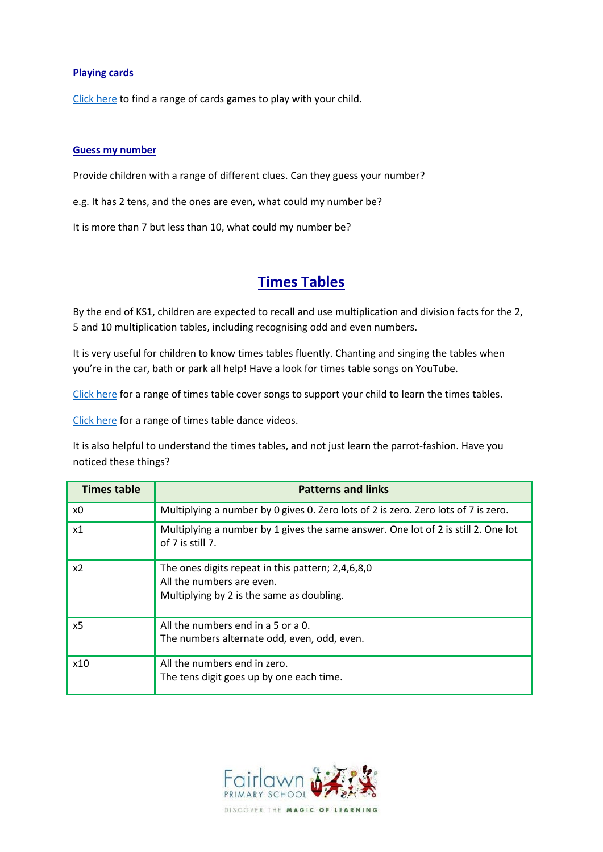#### **Playing cards**

[Click here](https://www.weareteachers.com/math-card-games/) to find a range of cards games to play with your child.

#### **Guess my number**

Provide children with a range of different clues. Can they guess your number?

e.g. It has 2 tens, and the ones are even, what could my number be?

It is more than 7 but less than 10, what could my number be?

## **Times Tables**

By the end of KS1, children are expected to recall and use multiplication and division facts for the 2, 5 and 10 multiplication tables, including recognising odd and even numbers.

It is very useful for children to know times tables fluently. Chanting and singing the tables when you're in the car, bath or park all help! Have a look for times table songs on YouTube.

[Click here](https://www.youtube.com/playlist?list=PLvMC7Wzm1mIF8CDTl1-QPgQGXVPAK-7lL) for a range of times table cover songs to support your child to learn the times tables.

[Click here](https://www.youtube.com/playlist?list=PLvMC7Wzm1mIFNODL7AW8WGHfTgJsKYZPv) for a range of times table dance videos.

It is also helpful to understand the times tables, and not just learn the parrot-fashion. Have you noticed these things?

| <b>Times table</b> | <b>Patterns and links</b>                                                                                                   |
|--------------------|-----------------------------------------------------------------------------------------------------------------------------|
| x0                 | Multiplying a number by 0 gives 0. Zero lots of 2 is zero. Zero lots of 7 is zero.                                          |
| x1                 | Multiplying a number by 1 gives the same answer. One lot of 2 is still 2. One lot<br>of 7 is still 7.                       |
| x2                 | The ones digits repeat in this pattern; 2,4,6,8,0<br>All the numbers are even.<br>Multiplying by 2 is the same as doubling. |
| x5                 | All the numbers end in a 5 or a 0.<br>The numbers alternate odd, even, odd, even.                                           |
| x10                | All the numbers end in zero.<br>The tens digit goes up by one each time.                                                    |